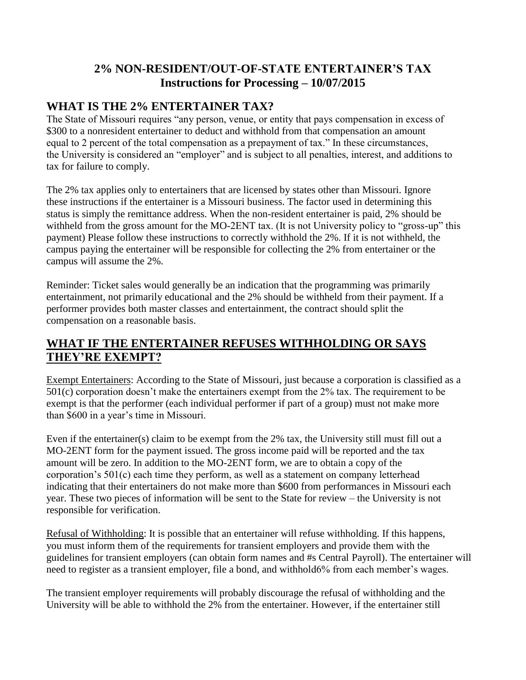# **2% NON-RESIDENT/OUT-OF-STATE ENTERTAINER'S TAX Instructions for Processing – 10/07/2015**

## **WHAT IS THE 2% ENTERTAINER TAX?**

The State of Missouri requires "any person, venue, or entity that pays compensation in excess of \$300 to a nonresident entertainer to deduct and withhold from that compensation an amount equal to 2 percent of the total compensation as a prepayment of tax." In these circumstances, the University is considered an "employer" and is subject to all penalties, interest, and additions to tax for failure to comply.

The 2% tax applies only to entertainers that are licensed by states other than Missouri. Ignore these instructions if the entertainer is a Missouri business. The factor used in determining this status is simply the remittance address. When the non-resident entertainer is paid, 2% should be withheld from the gross amount for the MO-2ENT tax. (It is not University policy to "gross-up" this payment) Please follow these instructions to correctly withhold the 2%. If it is not withheld, the campus paying the entertainer will be responsible for collecting the 2% from entertainer or the campus will assume the 2%.

Reminder: Ticket sales would generally be an indication that the programming was primarily entertainment, not primarily educational and the 2% should be withheld from their payment. If a performer provides both master classes and entertainment, the contract should split the compensation on a reasonable basis.

## **WHAT IF THE ENTERTAINER REFUSES WITHHOLDING OR SAYS THEY'RE EXEMPT?**

Exempt Entertainers: According to the State of Missouri, just because a corporation is classified as a 501(c) corporation doesn't make the entertainers exempt from the 2% tax. The requirement to be exempt is that the performer (each individual performer if part of a group) must not make more than \$600 in a year's time in Missouri.

Even if the entertainer(s) claim to be exempt from the 2% tax, the University still must fill out a MO-2ENT form for the payment issued. The gross income paid will be reported and the tax amount will be zero. In addition to the MO-2ENT form, we are to obtain a copy of the corporation's 501(c) each time they perform, as well as a statement on company letterhead indicating that their entertainers do not make more than \$600 from performances in Missouri each year. These two pieces of information will be sent to the State for review – the University is not responsible for verification.

Refusal of Withholding: It is possible that an entertainer will refuse withholding. If this happens, you must inform them of the requirements for transient employers and provide them with the guidelines for transient employers (can obtain form names and #s Central Payroll). The entertainer will need to register as a transient employer, file a bond, and withhold6% from each member's wages.

The transient employer requirements will probably discourage the refusal of withholding and the University will be able to withhold the 2% from the entertainer. However, if the entertainer still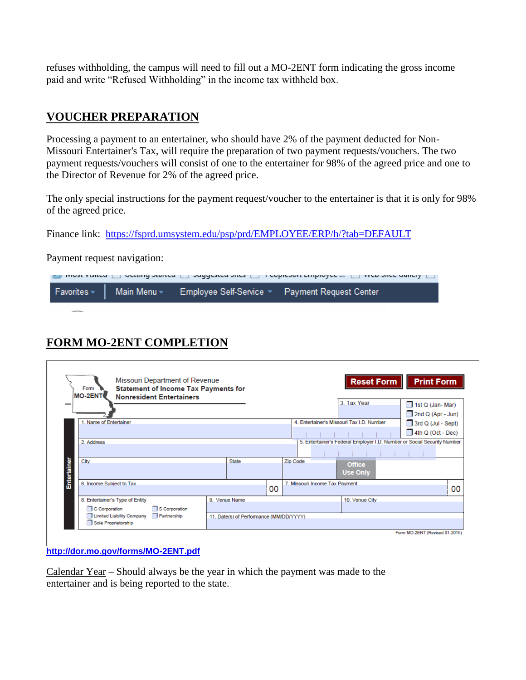refuses withholding, the campus will need to fill out a MO-2ENT form indicating the gross income paid and write "Refused Withholding" in the income tax withheld box.

## **VOUCHER PREPARATION**

Processing a payment to an entertainer, who should have 2% of the payment deducted for Non-Missouri Entertainer's Tax, will require the preparation of two payment requests/vouchers. The two payment requests/vouchers will consist of one to the entertainer for 98% of the agreed price and one to the Director of Revenue for 2% of the agreed price.

The only special instructions for the payment request/voucher to the entertainer is that it is only for 98% of the agreed price.

Finance link: https://fsprd.umsystem.edu/psp/prd/EMPLOYEE/ERP/h/?tab=DEFAULT

Payment request navigation:

| רות המוסד גופורית ("") מרגמות מתוכנית ("") מתחלת מוריז (""). במוסדות המוסדית והוא מוריק ממוכן ממוכן ל |  |  |                                                                        |  |  |
|-------------------------------------------------------------------------------------------------------|--|--|------------------------------------------------------------------------|--|--|
|                                                                                                       |  |  | Favorites V Main Menu V Employee Self-Service V Payment Request Center |  |  |

# **FORM MO-2ENT COMPLETION**

| Missouri Department of Revenue<br><b>Statement of Income Tax Payments for</b><br>Form<br><b>MO-2ENT</b><br><b>Nonresident Entertainers</b> |                                         |    | <b>Print Form</b><br><b>Reset Form</b><br>3. Tax Year                   |
|--------------------------------------------------------------------------------------------------------------------------------------------|-----------------------------------------|----|-------------------------------------------------------------------------|
|                                                                                                                                            |                                         |    | $\Box$ 1st Q (Jan-Mar)<br>$\Box$ 2nd Q (Apr - Jun)                      |
| Name of Entertainer                                                                                                                        |                                         |    | 4. Entertainer's Missouri Tax I.D. Number<br>$\Box$ 3rd Q (Jul - Sept)  |
|                                                                                                                                            |                                         |    | $\Box$ 4th Q (Oct - Dec)                                                |
| 2. Address                                                                                                                                 |                                         |    | 5. Entertainer's Federal Employer I.D. Number or Social Security Number |
| Entertainer<br>City                                                                                                                        | <b>State</b>                            |    | Zip Code<br><b>Office</b><br><b>Use Only</b>                            |
| 6. Income Subject to Tax                                                                                                                   |                                         | 00 | 7. Missouri Income Tax Payment                                          |
| 8. Entertainer's Type of Entity<br>C Corporation<br>S Corporation                                                                          | 9. Venue Name                           |    | 10. Venue City                                                          |
| Partnership<br>Limited Liability Company<br>Sole Proprietorship                                                                            | 11. Date(s) of Performance (MM/DD/YYYY) |    |                                                                         |

**<http://dor.mo.gov/forms/MO-2ENT.pdf>**

Calendar Year – Should always be the year in which the payment was made to the entertainer and is being reported to the state.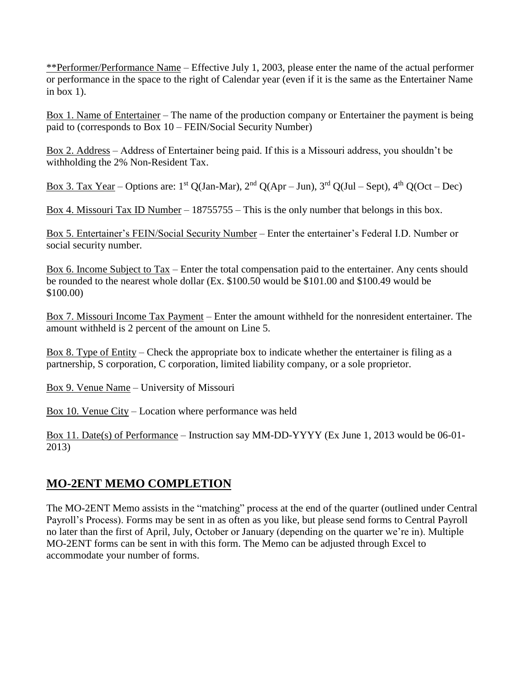\*\*Performer/Performance Name – Effective July 1, 2003, please enter the name of the actual performer or performance in the space to the right of Calendar year (even if it is the same as the Entertainer Name in box  $1$ ).

Box 1. Name of Entertainer – The name of the production company or Entertainer the payment is being paid to (corresponds to Box 10 – FEIN/Social Security Number)

Box 2. Address – Address of Entertainer being paid. If this is a Missouri address, you shouldn't be withholding the 2% Non-Resident Tax.

Box 3. Tax Year – Options are:  $1^{st}$  Q(Jan-Mar),  $2^{nd}$  Q(Apr – Jun),  $3^{rd}$  Q(Jul – Sept),  $4^{th}$  Q(Oct – Dec)

Box 4. Missouri Tax ID Number – 18755755 – This is the only number that belongs in this box.

Box 5. Entertainer's FEIN/Social Security Number – Enter the entertainer's Federal I.D. Number or social security number.

Box 6. Income Subject to Tax – Enter the total compensation paid to the entertainer. Any cents should be rounded to the nearest whole dollar (Ex. \$100.50 would be \$101.00 and \$100.49 would be \$100.00)

Box 7. Missouri Income Tax Payment – Enter the amount withheld for the nonresident entertainer. The amount withheld is 2 percent of the amount on Line 5.

Box 8. Type of Entity – Check the appropriate box to indicate whether the entertainer is filing as a partnership, S corporation, C corporation, limited liability company, or a sole proprietor.

Box 9. Venue Name – University of Missouri

Box 10. Venue City – Location where performance was held

Box 11. Date(s) of Performance – Instruction say MM-DD-YYYY (Ex June 1, 2013 would be 06-01- 2013)

# **MO-2ENT MEMO COMPLETION**

The MO-2ENT Memo assists in the "matching" process at the end of the quarter (outlined under Central Payroll's Process). Forms may be sent in as often as you like, but please send forms to Central Payroll no later than the first of April, July, October or January (depending on the quarter we're in). Multiple MO-2ENT forms can be sent in with this form. The Memo can be adjusted through Excel to accommodate your number of forms.